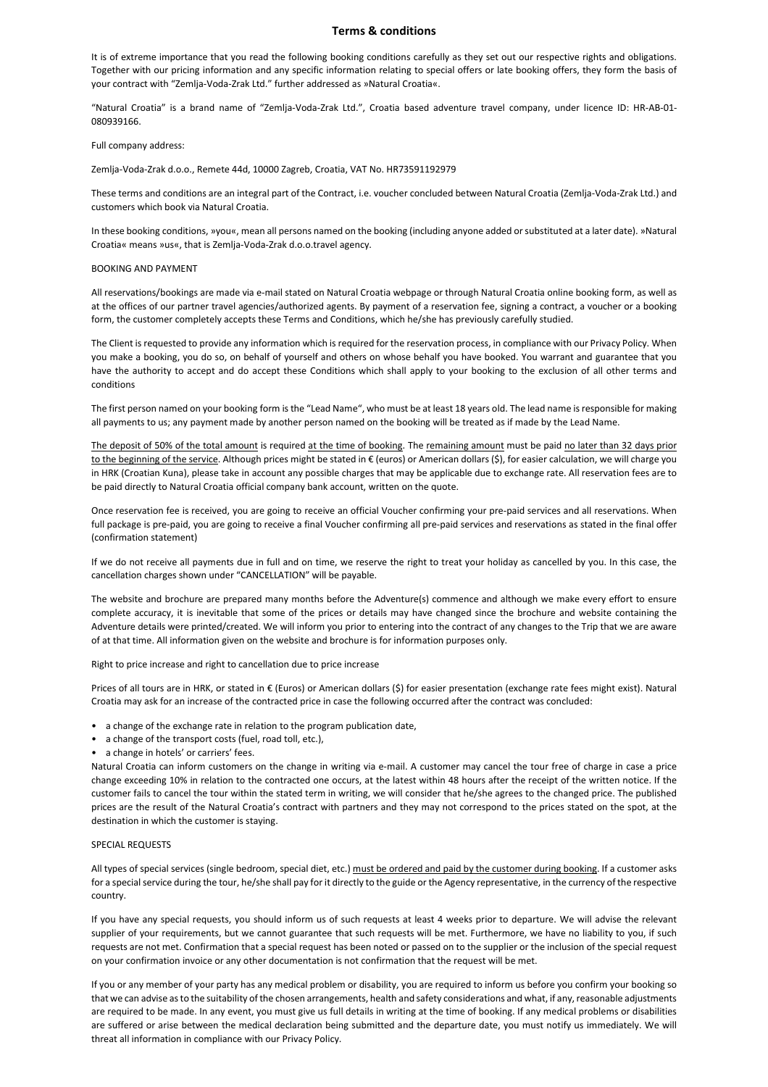## **Terms & conditions**

It is of extreme importance that you read the following booking conditions carefully as they set out our respective rights and obligations. Together with our pricing information and any specific information relating to special offers or late booking offers, they form the basis of your contract with "Zemlja-Voda-Zrak Ltd." further addressed as »Natural Croatia«.

"Natural Croatia" is a brand name of "Zemlja-Voda-Zrak Ltd.", Croatia based adventure travel company, under licence ID: HR-AB-01- 080939166.

Full company address:

Zemlja-Voda-Zrak d.o.o., Remete 44d, 10000 Zagreb, Croatia, VAT No. HR73591192979

These terms and conditions are an integral part of the Contract, i.e. voucher concluded between Natural Croatia (Zemlja-Voda-Zrak Ltd.) and customers which book via Natural Croatia.

In these booking conditions, »you«, mean all persons named on the booking (including anyone added or substituted at a later date). »Natural Croatia« means »us«, that is Zemlja-Voda-Zrak d.o.o.travel agency.

## BOOKING AND PAYMENT

All reservations/bookings are made via e-mail stated on Natural Croatia webpage or through Natural Croatia online booking form, as well as at the offices of our partner travel agencies/authorized agents. By payment of a reservation fee, signing a contract, a voucher or a booking form, the customer completely accepts these Terms and Conditions, which he/she has previously carefully studied.

The Client is requested to provide any information which is required for the reservation process, in compliance with our Privacy Policy. When you make a booking, you do so, on behalf of yourself and others on whose behalf you have booked. You warrant and guarantee that you have the authority to accept and do accept these Conditions which shall apply to your booking to the exclusion of all other terms and conditions

The first person named on your booking form is the "Lead Name", who must be at least 18 years old. The lead name is responsible for making all payments to us; any payment made by another person named on the booking will be treated as if made by the Lead Name.

The deposit of 50% of the total amount is required at the time of booking. The remaining amount must be paid no later than 32 days prior to the beginning of the service. Although prices might be stated in € (euros) or American dollars (\$), for easier calculation, we will charge you in HRK (Croatian Kuna), please take in account any possible charges that may be applicable due to exchange rate. All reservation fees are to be paid directly to Natural Croatia official company bank account, written on the quote.

Once reservation fee is received, you are going to receive an official Voucher confirming your pre-paid services and all reservations. When full package is pre-paid, you are going to receive a final Voucher confirming all pre-paid services and reservations as stated in the final offer (confirmation statement)

If we do not receive all payments due in full and on time, we reserve the right to treat your holiday as cancelled by you. In this case, the cancellation charges shown under "CANCELLATION" will be payable.

The website and brochure are prepared many months before the Adventure(s) commence and although we make every effort to ensure complete accuracy, it is inevitable that some of the prices or details may have changed since the brochure and website containing the Adventure details were printed/created. We will inform you prior to entering into the contract of any changes to the Trip that we are aware of at that time. All information given on the website and brochure is for information purposes only.

Right to price increase and right to cancellation due to price increase

Prices of all tours are in HRK, or stated in € (Euros) or American dollars (\$) for easier presentation (exchange rate fees might exist). Natural Croatia may ask for an increase of the contracted price in case the following occurred after the contract was concluded:

- a change of the exchange rate in relation to the program publication date,
- a change of the transport costs (fuel, road toll, etc.),
- a change in hotels' or carriers' fees.

Natural Croatia can inform customers on the change in writing via e-mail. A customer may cancel the tour free of charge in case a price change exceeding 10% in relation to the contracted one occurs, at the latest within 48 hours after the receipt of the written notice. If the customer fails to cancel the tour within the stated term in writing, we will consider that he/she agrees to the changed price. The published prices are the result of the Natural Croatia's contract with partners and they may not correspond to the prices stated on the spot, at the destination in which the customer is staying.

# SPECIAL REQUESTS

All types of special services (single bedroom, special diet, etc.) must be ordered and paid by the customer during booking. If a customer asks for a special service during the tour, he/she shall pay for it directly to the guide or the Agency representative, in the currency of the respective country.

If you have any special requests, you should inform us of such requests at least 4 weeks prior to departure. We will advise the relevant supplier of your requirements, but we cannot guarantee that such requests will be met. Furthermore, we have no liability to you, if such requests are not met. Confirmation that a special request has been noted or passed on to the supplier or the inclusion of the special request on your confirmation invoice or any other documentation is not confirmation that the request will be met.

If you or any member of your party has any medical problem or disability, you are required to inform us before you confirm your booking so that we can advise as to the suitability of the chosen arrangements, health and safety considerations and what, if any, reasonable adjustments are required to be made. In any event, you must give us full details in writing at the time of booking. If any medical problems or disabilities are suffered or arise between the medical declaration being submitted and the departure date, you must notify us immediately. We will threat all information in compliance with our Privacy Policy.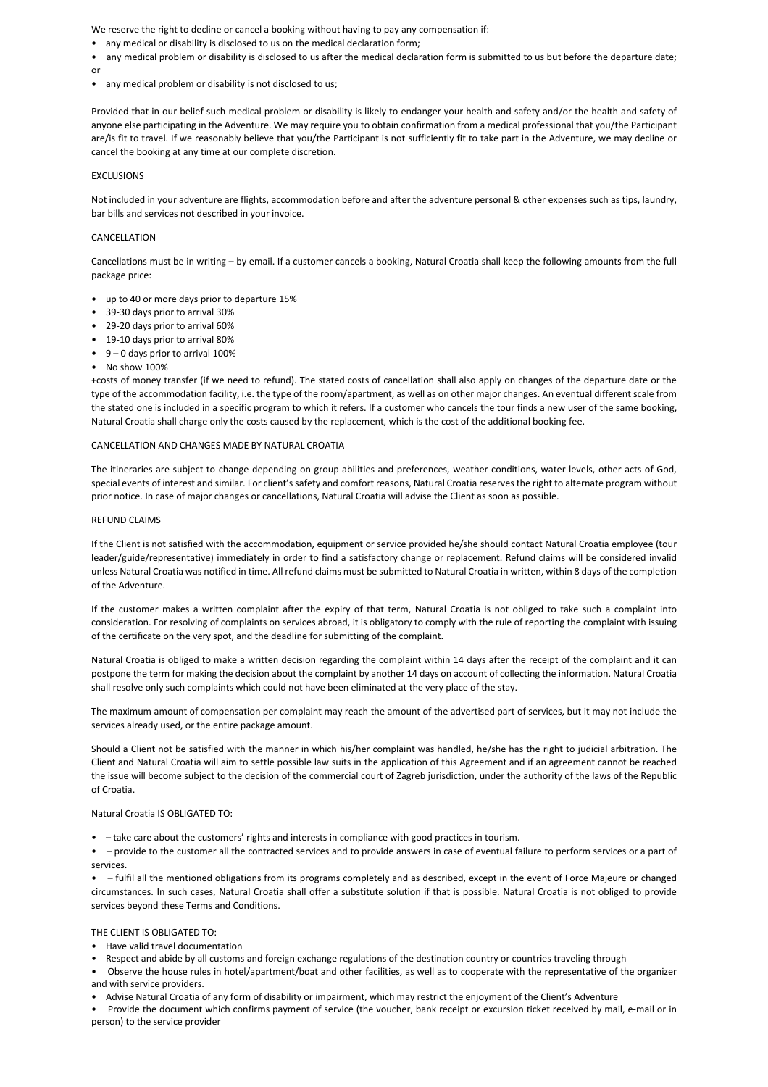We reserve the right to decline or cancel a booking without having to pay any compensation if:

- any medical or disability is disclosed to us on the medical declaration form;
- any medical problem or disability is disclosed to us after the medical declaration form is submitted to us but before the departure date; or
- any medical problem or disability is not disclosed to us;

Provided that in our belief such medical problem or disability is likely to endanger your health and safety and/or the health and safety of anyone else participating in the Adventure. We may require you to obtain confirmation from a medical professional that you/the Participant are/is fit to travel. If we reasonably believe that you/the Participant is not sufficiently fit to take part in the Adventure, we may decline or cancel the booking at any time at our complete discretion.

# **EXCLUSIONS**

Not included in your adventure are flights, accommodation before and after the adventure personal & other expenses such as tips, laundry, bar bills and services not described in your invoice.

## CANCELLATION

Cancellations must be in writing – by email. If a customer cancels a booking, Natural Croatia shall keep the following amounts from the full package price:

- up to 40 or more days prior to departure 15%
- 39-30 days prior to arrival 30%
- 29-20 days prior to arrival 60%
- 19-10 days prior to arrival 80%
- 9 0 days prior to arrival 100%
- No show 100%

+costs of money transfer (if we need to refund). The stated costs of cancellation shall also apply on changes of the departure date or the type of the accommodation facility, i.e. the type of the room/apartment, as well as on other major changes. An eventual different scale from the stated one is included in a specific program to which it refers. If a customer who cancels the tour finds a new user of the same booking, Natural Croatia shall charge only the costs caused by the replacement, which is the cost of the additional booking fee.

## CANCELLATION AND CHANGES MADE BY NATURAL CROATIA

The itineraries are subject to change depending on group abilities and preferences, weather conditions, water levels, other acts of God, special events of interest and similar. For client's safety and comfort reasons, Natural Croatia reserves the right to alternate program without prior notice. In case of major changes or cancellations, Natural Croatia will advise the Client as soon as possible.

#### REFUND CLAIMS

If the Client is not satisfied with the accommodation, equipment or service provided he/she should contact Natural Croatia employee (tour leader/guide/representative) immediately in order to find a satisfactory change or replacement. Refund claims will be considered invalid unless Natural Croatia was notified in time. All refund claims must be submitted to Natural Croatia in written, within 8 days of the completion of the Adventure.

If the customer makes a written complaint after the expiry of that term, Natural Croatia is not obliged to take such a complaint into consideration. For resolving of complaints on services abroad, it is obligatory to comply with the rule of reporting the complaint with issuing of the certificate on the very spot, and the deadline for submitting of the complaint.

Natural Croatia is obliged to make a written decision regarding the complaint within 14 days after the receipt of the complaint and it can postpone the term for making the decision about the complaint by another 14 days on account of collecting the information. Natural Croatia shall resolve only such complaints which could not have been eliminated at the very place of the stay.

The maximum amount of compensation per complaint may reach the amount of the advertised part of services, but it may not include the services already used, or the entire package amount.

Should a Client not be satisfied with the manner in which his/her complaint was handled, he/she has the right to judicial arbitration. The Client and Natural Croatia will aim to settle possible law suits in the application of this Agreement and if an agreement cannot be reached the issue will become subject to the decision of the commercial court of Zagreb jurisdiction, under the authority of the laws of the Republic of Croatia.

Natural Croatia IS OBLIGATED TO:

• – take care about the customers' rights and interests in compliance with good practices in tourism.

• – provide to the customer all the contracted services and to provide answers in case of eventual failure to perform services or a part of services.

• – fulfil all the mentioned obligations from its programs completely and as described, except in the event of Force Majeure or changed circumstances. In such cases, Natural Croatia shall offer a substitute solution if that is possible. Natural Croatia is not obliged to provide services beyond these Terms and Conditions.

# THE CLIENT IS OBLIGATED TO:

- Have valid travel documentation
- Respect and abide by all customs and foreign exchange regulations of the destination country or countries traveling through
- Observe the house rules in hotel/apartment/boat and other facilities, as well as to cooperate with the representative of the organizer and with service providers.
- Advise Natural Croatia of any form of disability or impairment, which may restrict the enjoyment of the Client's Adventure
- Provide the document which confirms payment of service (the voucher, bank receipt or excursion ticket received by mail, e-mail or in person) to the service provider